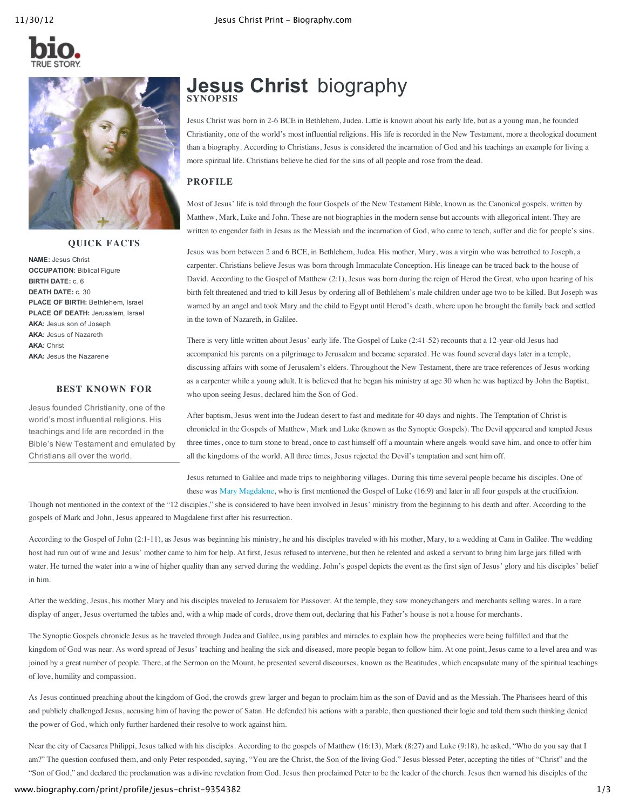



#### **QUICK FACTS**

**NAME:** Jesus Christ **OCCUPATION:** Biblical Figure **BIRTH DATE:** c. 6 **DEATH DATE:** c. 30 **PLACE OF BIRTH:** Bethlehem, Israel **PLACE OF DEATH:** Jerusalem, Israel **AKA:** Jesus son of Joseph **AKA:** Jesus of Nazareth **AKA:** Christ **AKA:** Jesus the Nazarene

## **BEST KNOWN FOR**

Jesus founded Christianity, one of the world's most influential religions. His teachings and life are recorded in the Bible's New Testament and emulated by Christians all over the world.

# **Jesus Christ** biography **SYNOPSIS**

Jesus Christ was born in 2-6 BCE in Bethlehem, Judea. Little is known about his early life, but as a young man, he founded Christianity, one of the world's most influential religions. His life is recorded in the New Testament, more a theological document than a biography. According to Christians, Jesus is considered the incarnation of God and his teachings an example for living a more spiritual life. Christians believe he died for the sins of all people and rose from the dead.

# **PROFILE**

Most of Jesus' life is told through the four Gospels of the New Testament Bible, known as the Canonical gospels, written by Matthew, Mark, Luke and John. These are not biographies in the modern sense but accounts with allegorical intent. They are written to engender faith in Jesus as the Messiah and the incarnation of God, who came to teach, suffer and die for people's sins.

Jesus was born between 2 and 6 BCE, in Bethlehem, Judea. His mother, Mary, was a virgin who was betrothed to Joseph, a carpenter. Christians believe Jesus was born through Immaculate Conception. His lineage can be traced back to the house of David. According to the Gospel of Matthew (2:1), Jesus was born during the reign of Herod the Great, who upon hearing of his birth felt threatened and tried to kill Jesus by ordering all of Bethlehem's male children under age two to be killed. But Joseph was warned by an angel and took Mary and the child to Egypt until Herod's death, where upon he brought the family back and settled in the town of Nazareth, in Galilee.

There is very little written about Jesus' early life. The Gospel of Luke (2:41-52) recounts that a 12-year-old Jesus had accompanied his parents on a pilgrimage to Jerusalem and became separated. He was found several days later in a temple, discussing affairs with some of Jerusalem's elders. Throughout the New Testament, there are trace references of Jesus working as a carpenter while a young adult. It is believed that he began his ministry at age 30 when he was baptized by John the Baptist, who upon seeing Jesus, declared him the Son of God.

After baptism, Jesus went into the Judean desert to fast and meditate for 40 days and nights. The Temptation of Christ is chronicled in the Gospels of Matthew, Mark and Luke (known as the Synoptic Gospels). The Devil appeared and tempted Jesus three times, once to turn stone to bread, once to cast himself off a mountain where angels would save him, and once to offer him all the kingdoms of the world. All three times, Jesus rejected the Devil's temptation and sent him off.

Jesus returned to Galilee and made trips to neighboring villages. During this time several people became his disciples. One of these was Mary [Magdalene](http://www.biography.com/people/mary-magdalene-9401421), who is first mentioned the Gospel of Luke (16:9) and later in all four gospels at the crucifixion.

Though not mentioned in the context of the "12 disciples," she is considered to have been involved in Jesus' ministry from the beginning to his death and after. According to the gospels of Mark and John, Jesus appeared to Magdalene first after his resurrection.

According to the Gospel of John (2:1-11), as Jesus was beginning his ministry, he and his disciples traveled with his mother, Mary, to a wedding at Cana in Galilee. The wedding host had run out of wine and Jesus' mother came to him for help. At first, Jesus refused to intervene, but then he relented and asked a servant to bring him large jars filled with water. He turned the water into a wine of higher quality than any served during the wedding. John's gospel depicts the event as the first sign of Jesus' glory and his disciples' belief in him.

After the wedding, Jesus, his mother Mary and his disciples traveled to Jerusalem for Passover. At the temple, they saw moneychangers and merchants selling wares. In a rare display of anger, Jesus overturned the tables and, with a whip made of cords, drove them out, declaring that his Father's house is not a house for merchants.

The Synoptic Gospels chronicle Jesus as he traveled through Judea and Galilee, using parables and miracles to explain how the prophecies were being fulfilled and that the kingdom of God was near. As word spread of Jesus' teaching and healing the sick and diseased, more people began to follow him. At one point, Jesus came to a level area and was joined by a great number of people. There, at the Sermon on the Mount, he presented several discourses, known as the Beatitudes, which encapsulate many of the spiritual teachings of love, humility and compassion.

As Jesus continued preaching about the kingdom of God, the crowds grew larger and began to proclaim him as the son of David and as the Messiah. The Pharisees heard of this and publicly challenged Jesus, accusing him of having the power of Satan. He defended his actions with a parable, then questioned their logic and told them such thinking denied the power of God, which only further hardened their resolve to work against him.

Near the city of Caesarea Philippi, Jesus talked with his disciples. According to the gospels of Matthew (16:13), Mark (8:27) and Luke (9:18), he asked, "Who do you say that I am?" The question confused them, and only Peter responded, saying, "You are the Christ, the Son of the living God." Jesus blessed Peter, accepting the titles of "Christ" and the "Son of God," and declared the proclamation was a divine revelation from God. Jesus then proclaimed Peter to be the leader of the church. Jesus then warned his disciples of the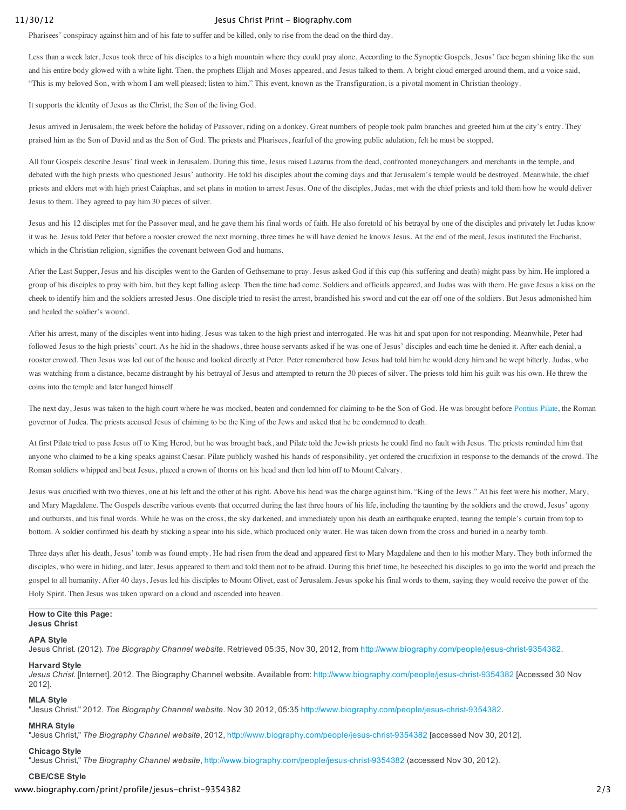#### 11/30/12 Jesus Christ Print - Biography.com

Pharisees' conspiracy against him and of his fate to suffer and be killed, only to rise from the dead on the third day.

Less than a week later, Jesus took three of his disciples to a high mountain where they could pray alone. According to the Synoptic Gospels, Jesus' face began shining like the sun and his entire body glowed with a white light. Then, the prophets Elijah and Moses appeared, and Jesus talked to them. A bright cloud emerged around them, and a voice said, "This is my beloved Son, with whom I am well pleased; listen to him." This event, known as the Transfiguration, is a pivotal moment in Christian theology.

It supports the identity of Jesus as the Christ, the Son of the living God.

Jesus arrived in Jerusalem, the week before the holiday of Passover, riding on a donkey. Great numbers of people took palm branches and greeted him at the city's entry. They praised him as the Son of David and as the Son of God. The priests and Pharisees, fearful of the growing public adulation, felt he must be stopped.

All four Gospels describe Jesus' final week in Jerusalem. During this time, Jesus raised Lazarus from the dead, confronted moneychangers and merchants in the temple, and debated with the high priests who questioned Jesus' authority. He told his disciples about the coming days and that Jerusalem's temple would be destroyed. Meanwhile, the chief priests and elders met with high priest Caiaphas, and set plans in motion to arrest Jesus. One of the disciples, Judas, met with the chief priests and told them how he would deliver Jesus to them. They agreed to pay him 30 pieces of silver.

Jesus and his 12 disciples met for the Passover meal, and he gave them his final words of faith. He also foretold of his betrayal by one of the disciples and privately let Judas know it was he. Jesus told Peter that before a rooster crowed the next morning, three times he will have denied he knows Jesus. At the end of the meal, Jesus instituted the Eucharist, which in the Christian religion, signifies the covenant between God and humans.

After the Last Supper, Jesus and his disciples went to the Garden of Gethsemane to pray. Jesus asked God if this cup (his suffering and death) might pass by him. He implored a group of his disciples to pray with him, but they kept falling asleep. Then the time had come. Soldiers and officials appeared, and Judas was with them. He gave Jesus a kiss on the cheek to identify him and the soldiers arrested Jesus. One disciple tried to resist the arrest, brandished his sword and cut the ear off one of the soldiers. But Jesus admonished him and healed the soldier's wound.

After his arrest, many of the disciples went into hiding. Jesus was taken to the high priest and interrogated. He was hit and spat upon for not responding. Meanwhile, Peter had followed Jesus to the high priests' court. As he hid in the shadows, three house servants asked if he was one of Jesus' disciples and each time he denied it. After each denial, a rooster crowed. Then Jesus was led out of the house and looked directly at Peter. Peter remembered how Jesus had told him he would deny him and he wept bitterly. Judas, who was watching from a distance, became distraught by his betrayal of Jesus and attempted to return the 30 pieces of silver. The priests told him his guilt was his own. He threw the coins into the temple and later hanged himself.

The next day, Jesus was taken to the high court where he was mocked, beaten and condemned for claiming to be the Son of God. He was brought before [Pontius](http://www.biography.com/people/pontius-pilate-9440686) Pilate, the Roman governor of Judea. The priests accused Jesus of claiming to be the King of the Jews and asked that he be condemned to death.

At first Pilate tried to pass Jesus off to King Herod, but he was brought back, and Pilate told the Jewish priests he could find no fault with Jesus. The priests reminded him that anyone who claimed to be a king speaks against Caesar. Pilate publicly washed his hands of responsibility, yet ordered the crucifixion in response to the demands of the crowd. The Roman soldiers whipped and beat Jesus, placed a crown of thorns on his head and then led him off to Mount Calvary.

Jesus was crucified with two thieves, one at his left and the other at his right. Above his head was the charge against him, "King of the Jews." At his feet were his mother, Mary, and Mary Magdalene. The Gospels describe various events that occurred during the last three hours of his life, including the taunting by the soldiers and the crowd, Jesus' agony and outbursts, and his final words. While he was on the cross, the sky darkened, and immediately upon his death an earthquake erupted, tearing the temple's curtain from top to bottom. A soldier confirmed his death by sticking a spear into his side, which produced only water. He was taken down from the cross and buried in a nearby tomb.

Three days after his death, Jesus' tomb was found empty. He had risen from the dead and appeared first to Mary Magdalene and then to his mother Mary. They both informed the disciples, who were in hiding, and later, Jesus appeared to them and told them not to be afraid. During this brief time, he beseeched his disciples to go into the world and preach the gospel to all humanity. After 40 days, Jesus led his disciples to Mount Olivet, east of Jerusalem. Jesus spoke his final words to them, saying they would receive the power of the Holy Spirit. Then Jesus was taken upward on a cloud and ascended into heaven.

#### **How to Cite this Page: Jesus Christ**

#### **APA Style**

Jesus Christ. (2012). *The Biography Channel website*. Retrieved 05:35, Nov 30, 2012, from http://www.biography.com/people/jesus-christ-9354382.

### **Harvard Style**

Jesus Christ. [Internet]. 2012. The Biography Channel website. Available from: http://www.biography.com/people/jesus-christ-9354382 [Accessed 30 Nov 2012].

#### **MLA Style**

"Jesus Christ." 2012. The Biography Channel website. Nov 30 2012, 05:35 http://www.biography.com/people/jesus-christ-9354382.

### **MHRA Style**

"Jesus Christ," The Biography Channel website, 2012, http://www.biography.com/people/jesus-christ-9354382 [accessed Nov 30, 2012].

#### **Chicago Style**

"Jesus Christ," The Biography Channel website, http://www.biography.com/people/jesus-christ-9354382 (accessed Nov 30, 2012).

#### **CBE/CSE Style**

www.biography.com/print/profile/jesus-christ-9354382 2/3